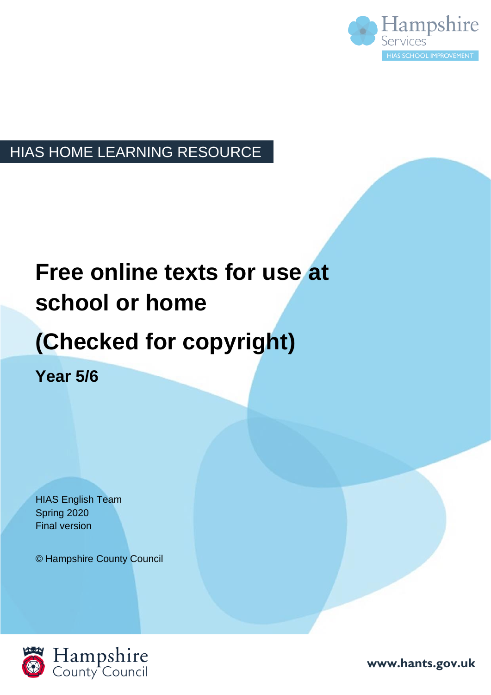

### HIAS HOME LEARNING RESOURCE

# **Free online texts for use at school or home**

## **(Checked for copyright)**

**Year 5/6**

HIAS English Team Spring 2020 Final version

© Hampshire County Council



**www.hants.gov.uk**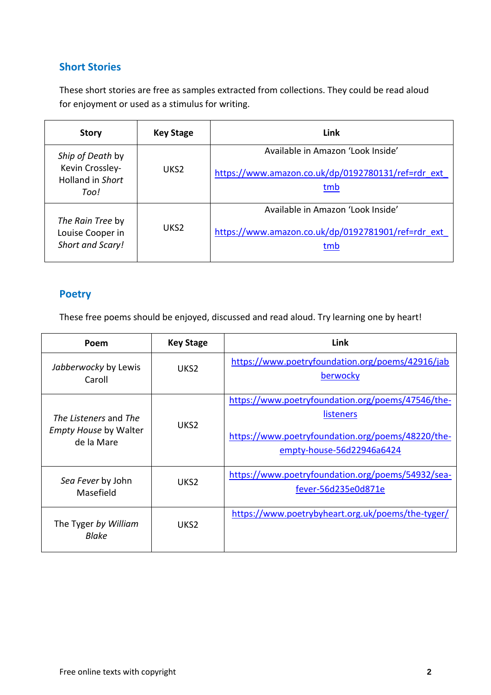#### **Short Stories**

These short stories are free as samples extracted from collections. They could be read aloud for enjoyment or used as a stimulus for writing.

| <b>Story</b>                                                           | <b>Key Stage</b> | Link                                                                                           |
|------------------------------------------------------------------------|------------------|------------------------------------------------------------------------------------------------|
| Ship of Death by<br>Kevin Crossley-<br><b>Holland in Short</b><br>Too! | UKS <sub>2</sub> | Available in Amazon 'Look Inside'<br>https://www.amazon.co.uk/dp/0192780131/ref=rdr ext<br>tmb |
| The Rain Tree by<br>Louise Cooper in<br>Short and Scary!               | UKS <sub>2</sub> | Available in Amazon 'Look Inside'<br>https://www.amazon.co.uk/dp/0192781901/ref=rdr_ext<br>tmb |

#### **Poetry**

These free poems should be enjoyed, discussed and read aloud. Try learning one by heart!

| Poem                                                                | <b>Key Stage</b> | Link                                                                                                                                                    |
|---------------------------------------------------------------------|------------------|---------------------------------------------------------------------------------------------------------------------------------------------------------|
| Jabberwocky by Lewis<br>Caroll                                      | UKS <sub>2</sub> | https://www.poetryfoundation.org/poems/42916/jab<br>berwocky                                                                                            |
| The Listeners and The<br><b>Empty House by Walter</b><br>de la Mare | UKS <sub>2</sub> | https://www.poetryfoundation.org/poems/47546/the-<br><b>listeners</b><br>https://www.poetryfoundation.org/poems/48220/the-<br>empty-house-56d22946a6424 |
| Sea Fever by John<br>Masefield                                      | UKS <sub>2</sub> | https://www.poetryfoundation.org/poems/54932/sea-<br>fever-56d235e0d871e                                                                                |
| The Tyger by William<br>Blake                                       | UKS <sub>2</sub> | https://www.poetrybyheart.org.uk/poems/the-tyger/                                                                                                       |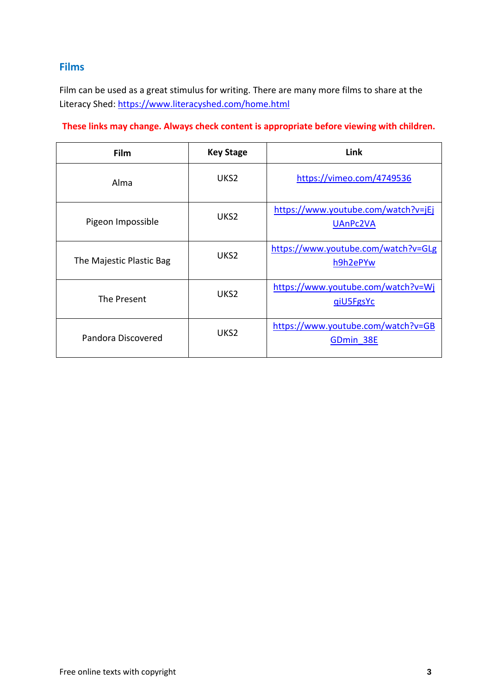#### **Films**

Film can be used as a great stimulus for writing. There are many more films to share at the Literacy Shed:<https://www.literacyshed.com/home.html>

#### **These links may change. Always check content is appropriate before viewing with children.**

| <b>Film</b>              | <b>Key Stage</b> | Link                                            |
|--------------------------|------------------|-------------------------------------------------|
| Alma                     | UKS <sub>2</sub> | https://vimeo.com/4749536                       |
| Pigeon Impossible        | UKS <sub>2</sub> | https://www.youtube.com/watch?v=jEj<br>UAnPc2VA |
| The Majestic Plastic Bag | UKS <sub>2</sub> | https://www.youtube.com/watch?v=GLg<br>h9h2ePYw |
| The Present              | UKS <sub>2</sub> | https://www.youtube.com/watch?v=Wj<br>qiU5FgsYc |
| Pandora Discovered       | UKS <sub>2</sub> | https://www.youtube.com/watch?v=GB<br>GDmin 38E |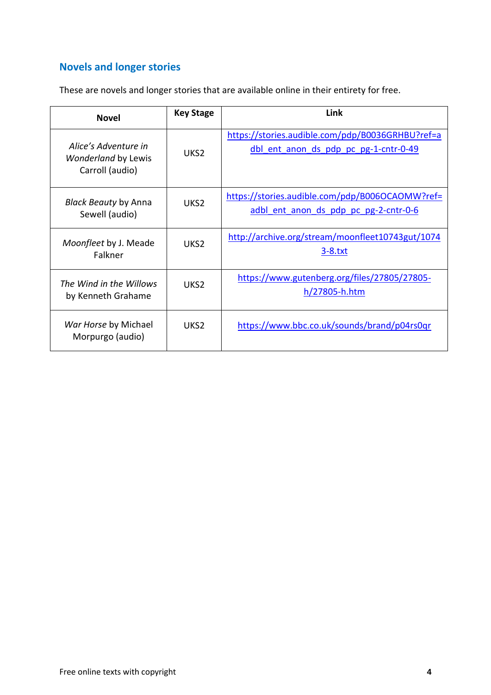### **Novels and longer stories**

These are novels and longer stories that are available online in their entirety for free.

| <b>Novel</b>                                                          | <b>Key Stage</b> | Link                                                                                      |
|-----------------------------------------------------------------------|------------------|-------------------------------------------------------------------------------------------|
| Alice's Adventure in<br><b>Wonderland by Lewis</b><br>Carroll (audio) | UKS <sub>2</sub> | https://stories.audible.com/pdp/B0036GRHBU?ref=a<br>dbl ent anon ds pdp pc pg-1-cntr-0-49 |
| <b>Black Beauty by Anna</b><br>Sewell (audio)                         | UKS <sub>2</sub> | https://stories.audible.com/pdp/B006OCAOMW?ref=<br>adbl ent anon ds pdp pc pg-2-cntr-0-6  |
| Moonfleet by J. Meade<br>Falkner                                      | UKS <sub>2</sub> | http://archive.org/stream/moonfleet10743gut/1074<br><u>3-8.txt</u>                        |
| The Wind in the Willows<br>by Kenneth Grahame                         | UKS <sub>2</sub> | https://www.gutenberg.org/files/27805/27805-<br>$h/27805$ -h.htm                          |
| War Horse by Michael<br>Morpurgo (audio)                              | UKS <sub>2</sub> | https://www.bbc.co.uk/sounds/brand/p04rs0qr                                               |